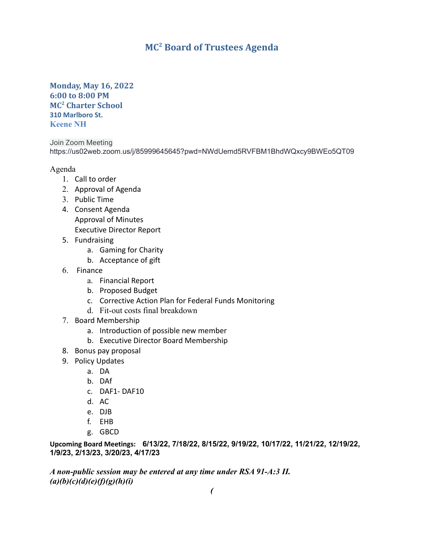## **MC <sup>2</sup> Board of Trustees Agenda**

## **Monday, May 16, 2022 6:00 to 8:00 PM MC<sup>2</sup> Charter School 310 Marlboro St. Keene NH**

Join Zoom Meeting https://us02web.zoom.us/j/85999645645?pwd=NWdUemd5RVFBM1BhdWQxcy9BWEo5QT09

## Agenda

- 1. Call to order
- 2. Approval of Agenda
- 3. Public Time
- 4. Consent Agenda Approval of Minutes Executive Director Report
- 5. Fundraising
	- a. Gaming for Charity
	- b. Acceptance of gift
- 6. Finance
	- a. Financial Report
	- b. Proposed Budget
	- c. Corrective Action Plan for Federal Funds Monitoring
	- d. Fit-out costs final breakdown
- 7. Board Membership
	- a. Introduction of possible new member
	- b. Executive Director Board Membership
- 8. Bonus pay proposal
- 9. Policy Updates
	- a. DA
	- b. DAf
	- c. DAF1- DAF10
	- d. AC
	- e. DJB
	- f. EHB
	- g. GBCD

**Upcoming Board Meetings: 6/13/22, 7/18/22, 8/15/22, 9/19/22, 10/17/22, 11/21/22, 12/19/22, 1/9/23, 2/13/23, 3/20/23, 4/17/23**

*A non-public session may be entered at any time under RSA 91-A:3 II. (a)(b)(c)(d)(e)(f)(g)(h)(i)*